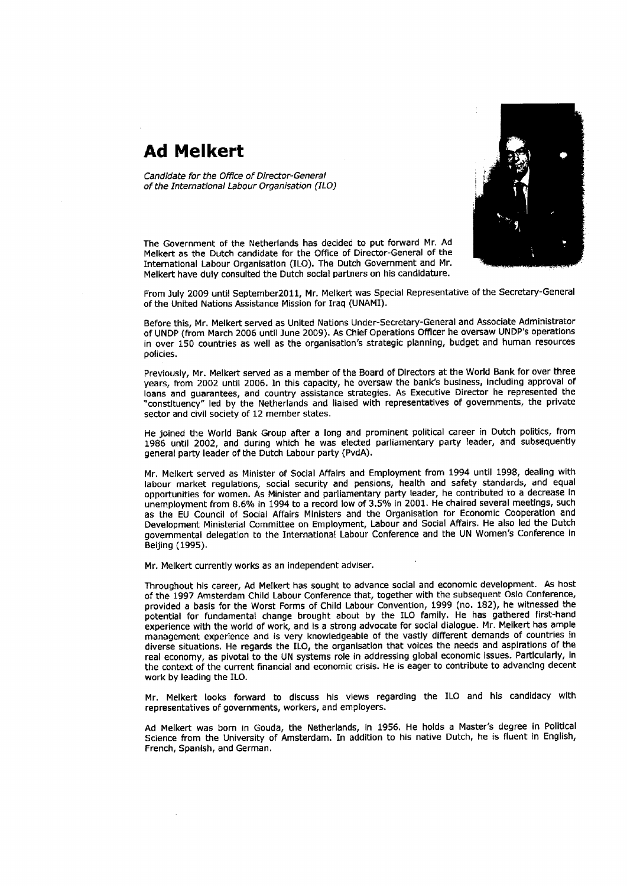## Ad Melkert

Candidate for the Office of Director-General of the International Labour Organisation (ILO)



The Government of the Nethedands has decided to put fonvard Mr. Ad Melkert as the Dutch candidate for the Office of Director-Geneml of the International Labour Organisation (ILO). The Dutch Government and Mr. Melkert have duly consulted the Dutch soclal partners on his candldature.

From luly 2009 until September201l, Mr. Melkert was Special Representative of the Secretary-General of the United Nations Assistance Mission for lraq (UNAMI).

Before this, Mr. Melkert served as United Nations Under-Secretary-General and Associate Administrator of UNDP (frorn March 2006 until June 2009). As Chlef Operations Offlcer he overcaw UNDP's operatlons in over 150 countries as well as the organisation's strategic planning, budget and human resources policies.

Previously, Mr. Melkert served as a member of the Board of Directors at the World Bank for over three years, from 2002 until 2006. In this capacity, he oversaw the bank's business, including approval of loans and guarantees, and country assistance strategies. As Executive Director he represented the "constituency" led by the Netherlands and liaised with representatives of govemments, the private sector and civil society of 12 member states.

He joined the World Bank Group after a long and prominent political career in Dutch politics, frorn 1986 until 2002, and during which he was elected parliamentary party leader, and subsequently general party leader of the Dutch Labour party (PvdA).

Mr. Melkert served as Minister of Social Affairs and Employment from 1994 until 1998, dealing with labour market regulations, social security and pensions, health and safety standards, and equal opportunities for women. As Minister and parliarnentary party leader, he contributed to a decrease in unemployment from 8.6% in 1994 to a record low of 3.5% in 2001. He chaired several meetings, such as the EU Council of Social Affairs Mlnisters and the Organlsation for Economic Cooperation and Development Ministerial Committee on Employment, Labour and Social Affairs, He also led the Dutch governmental delegation to the International Labour Conference and the UN Women's Conference in Beijing (199s),

Mr. Melkert currently works as an independent adviser.

Throughout hls career, Ad Metkert has sought to advance social and economlc development. As host of the 1997 Amsterdam Chlld Labour Conference that, together with the subsequent Oslo Conference, provided a basis for the Worst Forms of Child Labour Convention, 1999 (no. 182), he witnessed the potential for fundamental change brought about by the ILO family. He has gathered first-hand experience wlth the world of work, and is a strong advocate for social dialogue. Mr. Melkert has ample management experience and is very knowledgeable of the vastly different demands of countrles in diverse situations, He regards the ILO, the organlsatlon that volces the needs and asplratlons of the real economy, as pivotal to the UN systems role in addressing global economic issues. Particularly, in the context of the current financial and economic crisis. He is eager to contribute to advanclng decent work by leading the ILO.

Mr. Melkert tooks forward to discuss his views regarding the ILO and his candidacy wlth representatives of governments, workers, and employers.

Ad Melkert was born in Gouda, the Netherlands, in 1956, He holds a Master's degree in Political Science from the University of Amsterdam. In addition to his native Dutch, he is fluent in English, French, Spanlsh, and German,